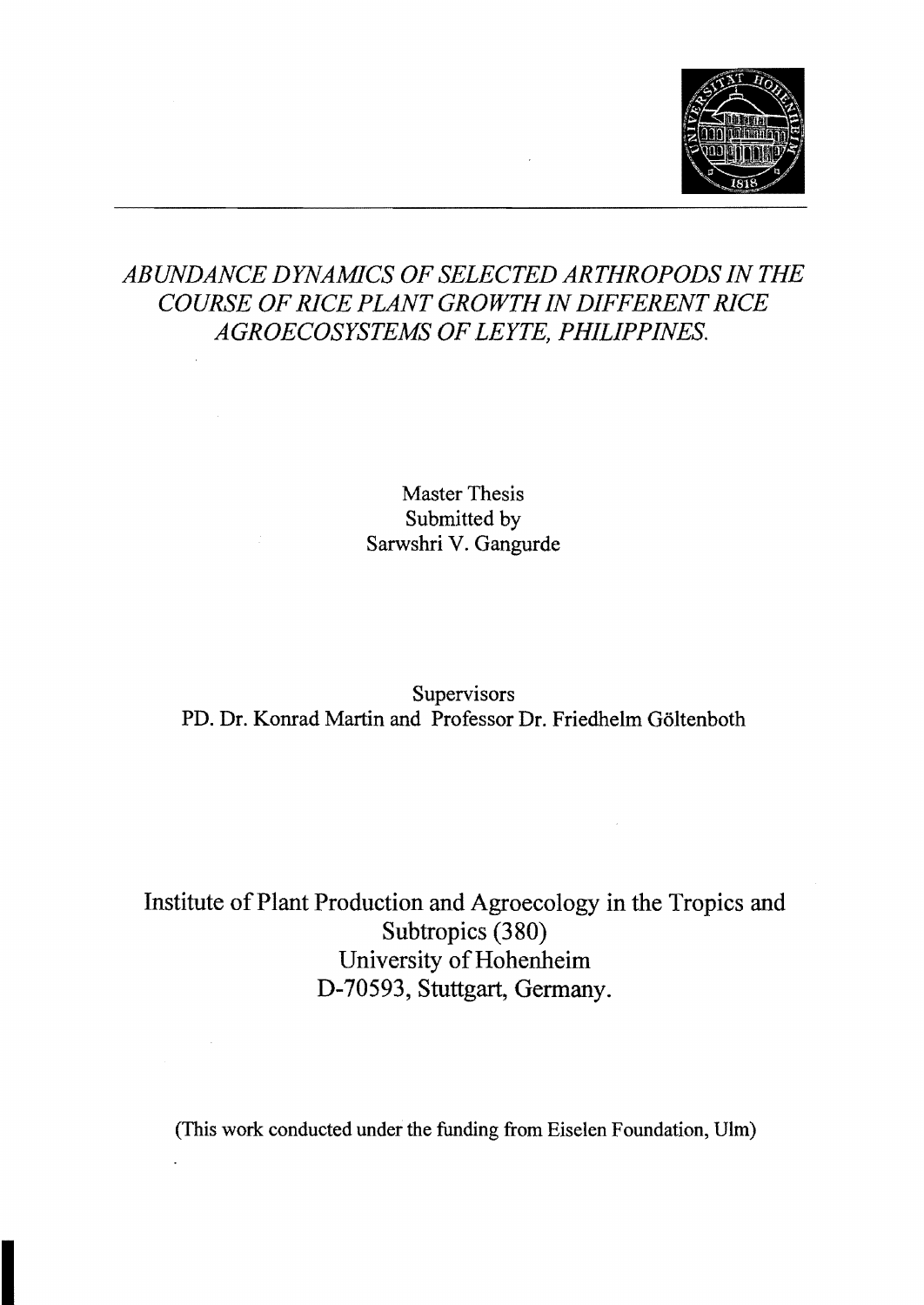

## *ABUNDANCE DYNAMICS OF SELECTED ARTHROPODS IN THE COURSE OF RICE PLANT GROWTHIN DIFFERENT RICE AGROECOSYSTEMS OF LEYTE, PHILIPPINES.*

Master Thesis Submitted by Sarwshri V. Gangurde

**Supervisors** PD. Dr. Konrad Martin and Professor Dr. Friedhelm Göltenboth

Institute of Plant Production and Agroecology in the Tropics and Subtropics (380) University of Hohenheim D-70593, Stuttgart, Germany.

(This work conducted under the funding from Eiselen Foundation, Ulm)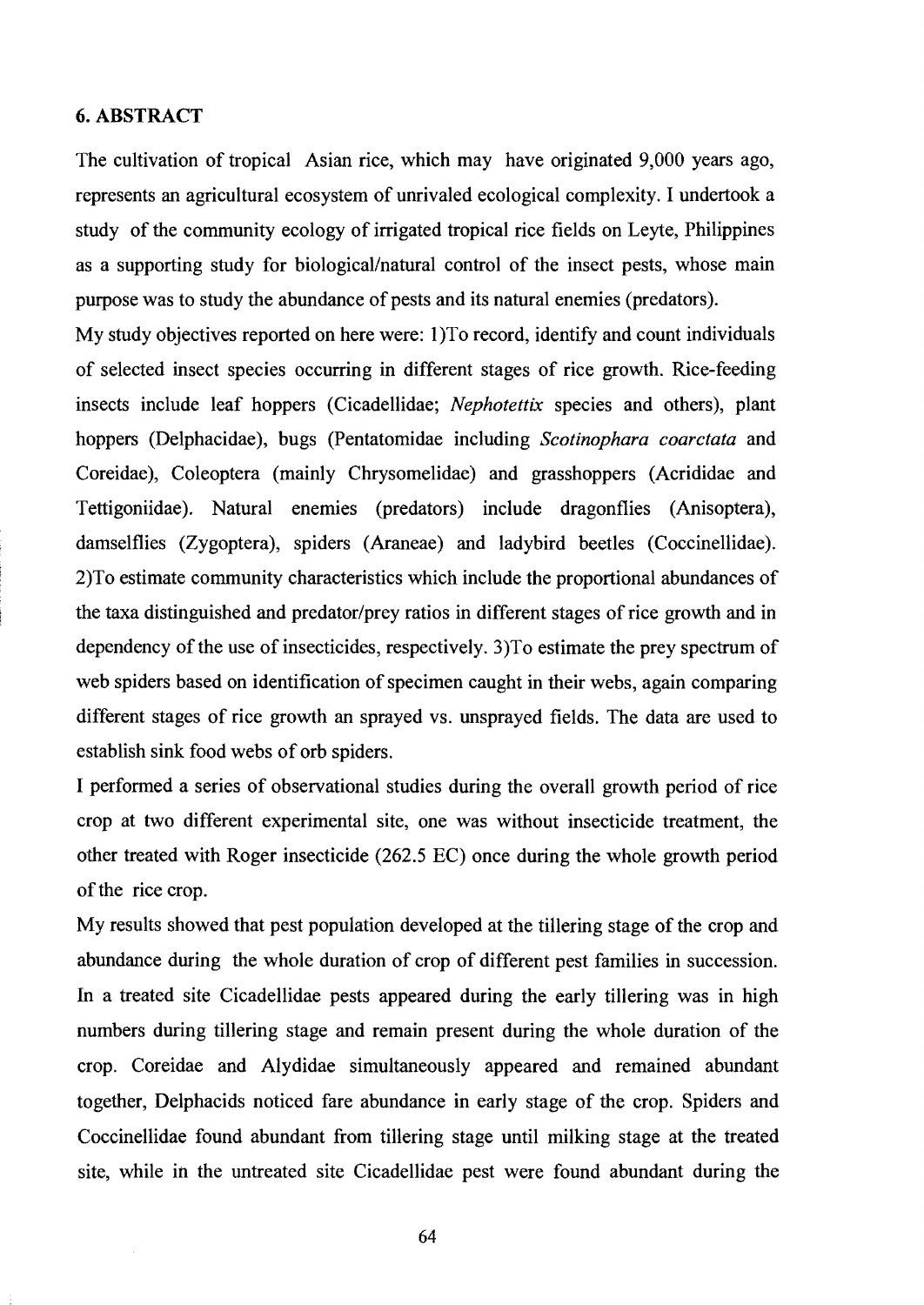## 6. ABSTRACT

The cultivation of tropical Asian rice, which may have originated 9,000 years ago, represents an agricultural ecosystem of unrivaled ecological complexity. I undertook a study of the community ecology of irrigated tropical rice fields on Leyte, Philippines as a supporting study for biological/natural control of the insect pests, whose main purpose was to study the abundance of pests and its natural enemies (predators).

My study objectives reported on here were: l)To record, identify and count individuals of selected insect species occurring in different stages of rice growth. Rice-feeding insects include leaf hoppers (Cicadellidae; *Nephotettix* species and others), plant hoppers (Delphacidae), bugs (Pentatomidae inc1uding *Scotinophara coarctata* and Coreidae), Coleoptera (mainly Chrysomelidae) and grasshoppers (Acrididae and Tettigoniidae). Natural enemies (predators) include dragonflies (Anisoptera), damse1flies (Zygoptera), spiders (Araneae) and ladybird beetles (Coccinellidae). 2)To estimate community characteristics which inc1ude the proportional abundances of the taxa distinguished and predator/prey ratios in different stages of rice growth and in dependency of the use of insecticides, respectively. 3)To estimate the prey spectrum of web spiders based on identification of specimen caught in their webs, again comparing different stages of rice growth an sprayed vs. unsprayed fields. The data are used to establish sink food webs of orb spiders.

I performed aseries of observational studies during the overall growth period of rice crop at two different experimental site, one was without insecticide treatment, the other treated with Roger insecticide (262.5 EC) once during the whole growth period of the rice crop.

My results showed that pest population developed at the tillering stage of the crop and abundance during the whole duration of crop of different pest families in succession. In a treated site Cicadellidae pests appeared during the early tillering was in high numbers during tillering stage and remain present during the whole duration of the crop. Coreidae and Alydidae simultaneously appeared and remained abundant together, Delphacids noticed fare abundance in early stage of the crop. Spiders and Coccinellidae found abundant from tillering stage until milking stage at the treated site, while in the untreated site Cicadellidae pest were found abundant during the